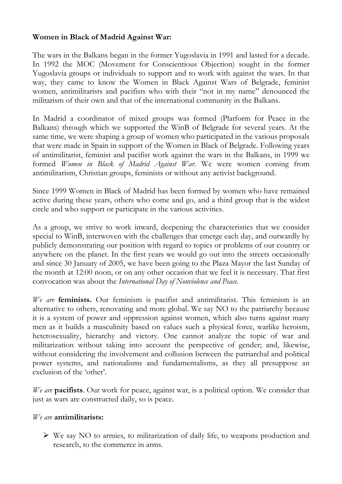### **Women in Black of Madrid Against War:**

The wars in the Balkans began in the former Yugoslavia in 1991 and lasted for a decade. In 1992 the MOC (Movement for Conscientious Objection) sought in the former Yugoslavia groups or individuals to support and to work with against the wars. In that way, they came to know the Women in Black Against Wars of Belgrade, feminist women, antimilitarists and pacifists who with their "not in my name" denounced the militarism of their own and that of the international community in the Balkans.

In Madrid a coordinator of mixed groups was formed (Platform for Peace in the Balkans) through which we supported the WinB of Belgrade for several years. At the same time, we were shaping a group of women who participated in the various proposals that were made in Spain in support of the Women in Black of Belgrade. Following years of antimilitarist, feminist and pacifist work against the wars in the Balkans, in 1999 we formed *Women in Black of Madrid Against War.* We were women coming from antimilitarism, Christian groups, feminists or without any activist background.

Since 1999 Women in Black of Madrid has been formed by women who have remained active during these years, others who come and go, and a third group that is the widest circle and who support or participate in the various activities.

As a group, we strive to work inward, deepening the characteristics that we consider special to WinB, interwoven with the challenges that emerge each day, and outwardly by publicly demonstrating our position with regard to topics or problems of our country or anywhere on the planet. In the first years we would go out into the streets occasionally and since 30 January of 2005, we have been going to the Plaza Mayor the last Sunday of the month at 12:00 noon, or on any other occasion that we feel it is necessary. That first convocation was about the *International Day of Nonviolence and Peace.* 

*We are* **feminists.** Our feminism is pacifist and antimilitarist. This feminism is an alternative to others, renovating and more global. We say NO to the patriarchy because it is a system of power and oppression against women, which also turns against many men as it builds a masculinity based on values such a physical force, warlike heroism, heterosexuality, hierarchy and victory. One cannot analyze the topic of war and militarization without taking into account the perspective of gender; and, likewise, without considering the involvement and collusion between the patriarchal and political power systems, and nationalisms and fundamentalisms, as they all presuppose an exclusion of the 'other'.

*We are* **pacifists**. Our work for peace, against war, is a political option. We consider that just as wars are constructed daily, so is peace.

#### *We are* **antimilitarists:**

 $\triangleright$  We say NO to armies, to militarization of daily life, to weapons production and research, to the commerce in arms.